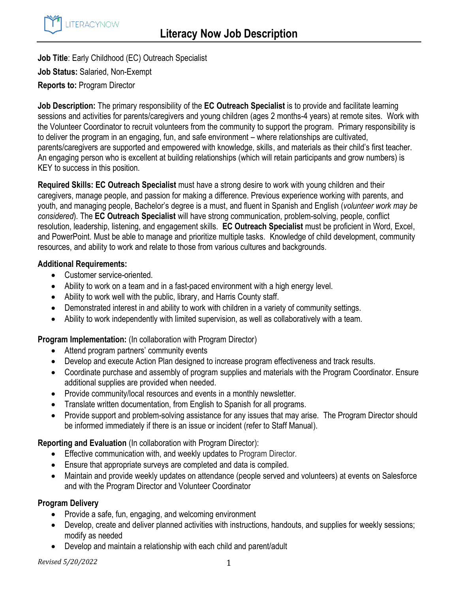

**Job Title**: Early Childhood (EC) Outreach Specialist **Job Status:** Salaried, Non-Exempt **Reports to:** Program Director

**Job Description:** The primary responsibility of the **EC Outreach Specialist** is to provide and facilitate learning sessions and activities for parents/caregivers and young children (ages 2 months-4 years) at remote sites. Work with the Volunteer Coordinator to recruit volunteers from the community to support the program. Primary responsibility is to deliver the program in an engaging, fun, and safe environment – where relationships are cultivated, parents/caregivers are supported and empowered with knowledge, skills, and materials as their child's first teacher. An engaging person who is excellent at building relationships (which will retain participants and grow numbers) is KEY to success in this position.

**Required Skills: EC Outreach Specialist** must have a strong desire to work with young children and their caregivers, manage people, and passion for making a difference. Previous experience working with parents, and youth, and managing people, Bachelor's degree is a must, and fluent in Spanish and English (*volunteer work may be considered*). The **EC Outreach Specialist** will have strong communication, problem-solving, people, conflict resolution, leadership, listening, and engagement skills. **EC Outreach Specialist** must be proficient in Word, Excel, and PowerPoint. Must be able to manage and prioritize multiple tasks. Knowledge of child development, community resources, and ability to work and relate to those from various cultures and backgrounds.

### **Additional Requirements:**

- Customer service-oriented.
- Ability to work on a team and in a fast-paced environment with a high energy level.
- Ability to work well with the public, library, and Harris County staff.
- Demonstrated interest in and ability to work with children in a variety of community settings.
- Ability to work independently with limited supervision, as well as collaboratively with a team.

**Program Implementation:** (In collaboration with Program Director)

- Attend program partners' community events
- Develop and execute Action Plan designed to increase program effectiveness and track results.
- Coordinate purchase and assembly of program supplies and materials with the Program Coordinator. Ensure additional supplies are provided when needed.
- Provide community/local resources and events in a monthly newsletter.
- Translate written documentation, from English to Spanish for all programs.
- Provide support and problem-solving assistance for any issues that may arise. The Program Director should be informed immediately if there is an issue or incident (refer to Staff Manual).

**Reporting and Evaluation** (In collaboration with Program Director):

- **Effective communication with, and weekly updates to Program Director.**
- Ensure that appropriate surveys are completed and data is compiled.
- Maintain and provide weekly updates on attendance (people served and volunteers) at events on Salesforce and with the Program Director and Volunteer Coordinator

# **Program Delivery**

- Provide a safe, fun, engaging, and welcoming environment
- Develop, create and deliver planned activities with instructions, handouts, and supplies for weekly sessions; modify as needed
- Develop and maintain a relationship with each child and parent/adult

*Revised 5/20/2022* 1